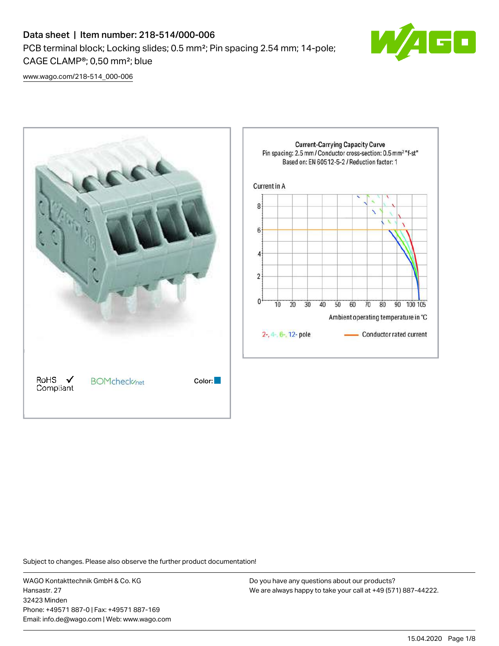

[www.wago.com/218-514\\_000-006](http://www.wago.com/218-514_000-006)



Subject to changes. Please also observe the further product documentation!

WAGO Kontakttechnik GmbH & Co. KG Hansastr. 27 32423 Minden Phone: +49571 887-0 | Fax: +49571 887-169 Email: info.de@wago.com | Web: www.wago.com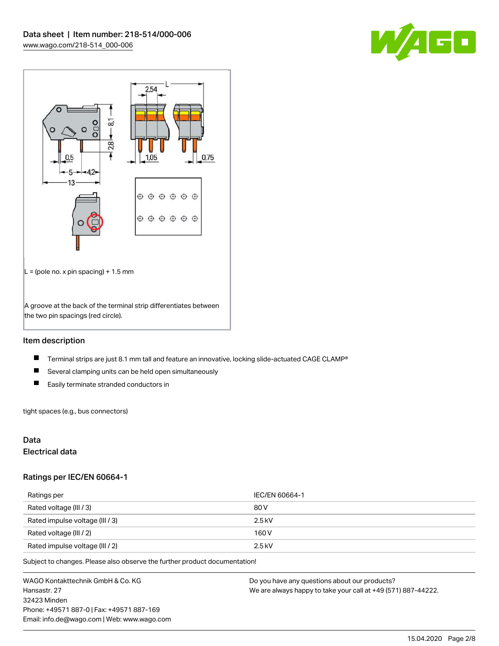



## Item description

- $\blacksquare$ Terminal strips are just 8.1 mm tall and feature an innovative, locking slide-actuated CAGE CLAMP®
- $\blacksquare$ Several clamping units can be held open simultaneously
- $\blacksquare$ Easily terminate stranded conductors in

tight spaces (e.g., bus connectors)

## Data

## Electrical data

#### Ratings per IEC/EN 60664-1

| Ratings per                     | IEC/EN 60664-1 |
|---------------------------------|----------------|
| Rated voltage (III / 3)         | 80 V           |
| Rated impulse voltage (III / 3) | $2.5$ kV       |
| Rated voltage (III / 2)         | 160 V          |
| Rated impulse voltage (III / 2) | $2.5$ kV       |

Subject to changes. Please also observe the further product documentation!

WAGO Kontakttechnik GmbH & Co. KG Hansastr. 27 32423 Minden Phone: +49571 887-0 | Fax: +49571 887-169 Email: info.de@wago.com | Web: www.wago.com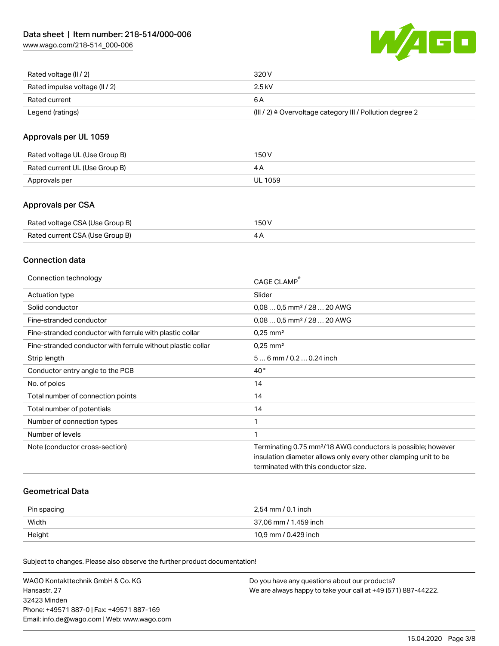

| Rated voltage (II / 2)         | 320 V                                                                 |
|--------------------------------|-----------------------------------------------------------------------|
| Rated impulse voltage (II / 2) | 2.5 kV                                                                |
| Rated current                  | 6 A                                                                   |
| Legend (ratings)               | $(III / 2)$ $\triangle$ Overvoltage category III / Pollution degree 2 |

## Approvals per UL 1059

| Rated voltage UL (Use Group B) | 150 V   |
|--------------------------------|---------|
| Rated current UL (Use Group B) |         |
| Approvals per                  | UL 1059 |

## Approvals per CSA

| Rated voltage CSA (Use Group B) | 150 V |
|---------------------------------|-------|
| Rated current CSA (Use Group B) | 4Α    |

### Connection data

| Connection technology                                       | CAGE CLAMP <sup>®</sup>                                                  |
|-------------------------------------------------------------|--------------------------------------------------------------------------|
| Actuation type                                              | Slider                                                                   |
| Solid conductor                                             | $0.080.5$ mm <sup>2</sup> / 28  20 AWG                                   |
| Fine-stranded conductor                                     | $0.080.5$ mm <sup>2</sup> / 28  20 AWG                                   |
| Fine-stranded conductor with ferrule with plastic collar    | $0.25$ mm <sup>2</sup>                                                   |
| Fine-stranded conductor with ferrule without plastic collar | $0.25$ mm <sup>2</sup>                                                   |
| Strip length                                                | $56$ mm $/ 0.20.24$ inch                                                 |
| Conductor entry angle to the PCB                            | $40^{\circ}$                                                             |
| No. of poles                                                | 14                                                                       |
| Total number of connection points                           | 14                                                                       |
| Total number of potentials                                  | 14                                                                       |
| Number of connection types                                  | 1                                                                        |
| Number of levels                                            | 1                                                                        |
| Note (conductor cross-section)                              | Terminating 0.75 mm <sup>2</sup> /18 AWG conductors is possible; however |
|                                                             | insulation diameter allows only every other clamping unit to be          |
|                                                             | terminated with this conductor size.                                     |

## Geometrical Data

| Pin spacing | 2.54 mm / 0.1 inch    |
|-------------|-----------------------|
| Width       | 37,06 mm / 1.459 inch |
| Height      | 10,9 mm / 0.429 inch  |

Subject to changes. Please also observe the further product documentation!

| WAGO Kontakttechnik GmbH & Co. KG           | Do you have any questions about our products?                 |
|---------------------------------------------|---------------------------------------------------------------|
| Hansastr. 27                                | We are always happy to take your call at +49 (571) 887-44222. |
| 32423 Minden                                |                                                               |
| Phone: +49571 887-01 Fax: +49571 887-169    |                                                               |
| Email: info.de@wago.com   Web: www.wago.com |                                                               |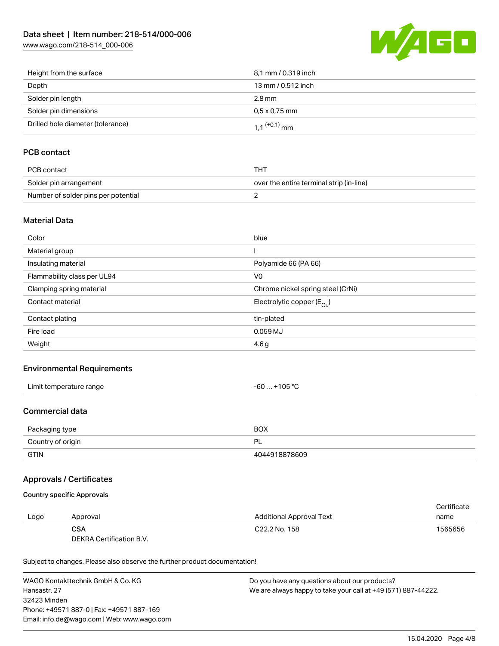[www.wago.com/218-514\\_000-006](http://www.wago.com/218-514_000-006)



| Height from the surface           | 8,1 mm / 0.319 inch        |
|-----------------------------------|----------------------------|
| Depth                             | 13 mm / 0.512 inch         |
| Solder pin length                 | $2.8 \,\mathrm{mm}$        |
| Solder pin dimensions             | $0.5 \times 0.75$ mm       |
| Drilled hole diameter (tolerance) | $1.1$ <sup>(+0,1)</sup> mm |

# PCB contact

| PCB contact                         | THT                                      |
|-------------------------------------|------------------------------------------|
| Solder pin arrangement              | over the entire terminal strip (in-line) |
| Number of solder pins per potential |                                          |

### Material Data

| Color                       | blue                                   |
|-----------------------------|----------------------------------------|
| Material group              |                                        |
| Insulating material         | Polyamide 66 (PA 66)                   |
| Flammability class per UL94 | V <sub>0</sub>                         |
| Clamping spring material    | Chrome nickel spring steel (CrNi)      |
| Contact material            | Electrolytic copper (E <sub>Cu</sub> ) |
| Contact plating             | tin-plated                             |
| Fire load                   | 0.059 MJ                               |
| Weight                      | 4.6 <sub>g</sub>                       |

### Environmental Requirements

| Limit temperature range | -60  +105 °C |
|-------------------------|--------------|
|-------------------------|--------------|

### Commercial data

| Packaging type    | <b>BOX</b>    |
|-------------------|---------------|
| Country of origin | ÞΙ            |
| <b>GTIN</b>       | 4044918878609 |

### Approvals / Certificates

## Country specific Approvals

|      |                          |                           | Certificate |
|------|--------------------------|---------------------------|-------------|
| Logo | Approval                 | Additional Approval Text  | name        |
|      | CSA                      | C <sub>22.2</sub> No. 158 | 1565656     |
|      | DEKRA Certification B.V. |                           |             |

Subject to changes. Please also observe the further product documentation!

WAGO Kontakttechnik GmbH & Co. KG Hansastr. 27 32423 Minden Phone: +49571 887-0 | Fax: +49571 887-169 Email: info.de@wago.com | Web: www.wago.com Do you have any questions about our products? We are always happy to take your call at +49 (571) 887-44222.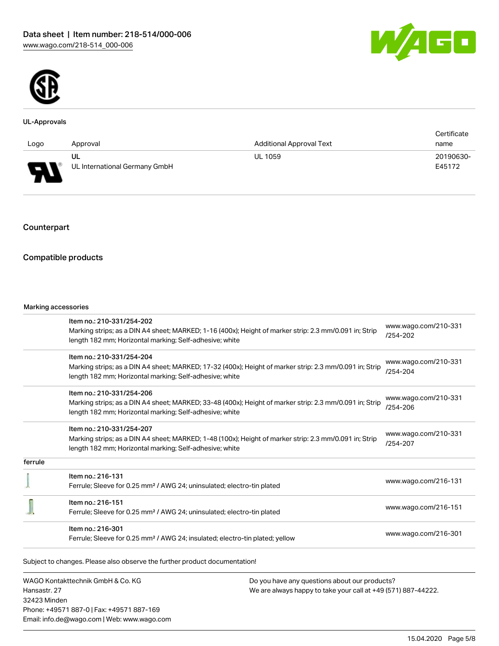



#### UL-Approvals

|                        |                               |                                 | Certificate |
|------------------------|-------------------------------|---------------------------------|-------------|
| Logo                   | Approval                      | <b>Additional Approval Text</b> | name        |
|                        | UL                            | <b>UL 1059</b>                  | 20190630-   |
| J<br>$\mathbf{r}$<br>÷ | UL International Germany GmbH |                                 | E45172      |

# Counterpart

## Compatible products

Phone: +49571 887-0 | Fax: +49571 887-169 Email: info.de@wago.com | Web: www.wago.com

|                                                   | Item no.: 210-331/254-202                                                                               |                                                                                                                | www.wago.com/210-331                 |
|---------------------------------------------------|---------------------------------------------------------------------------------------------------------|----------------------------------------------------------------------------------------------------------------|--------------------------------------|
|                                                   | Marking strips; as a DIN A4 sheet; MARKED; 1-16 (400x); Height of marker strip: 2.3 mm/0.091 in; Strip  |                                                                                                                | $/254 - 202$                         |
|                                                   | length 182 mm; Horizontal marking; Self-adhesive; white                                                 |                                                                                                                |                                      |
|                                                   | Item no.: 210-331/254-204                                                                               |                                                                                                                | www.wago.com/210-331                 |
|                                                   | Marking strips; as a DIN A4 sheet; MARKED; 17-32 (400x); Height of marker strip: 2.3 mm/0.091 in; Strip |                                                                                                                | /254-204                             |
|                                                   | length 182 mm; Horizontal marking; Self-adhesive; white                                                 |                                                                                                                |                                      |
|                                                   | Item no.: 210-331/254-206                                                                               |                                                                                                                |                                      |
|                                                   | Marking strips; as a DIN A4 sheet; MARKED; 33-48 (400x); Height of marker strip: 2.3 mm/0.091 in; Strip |                                                                                                                | www.wago.com/210-331<br>/254-206     |
|                                                   | length 182 mm; Horizontal marking; Self-adhesive; white                                                 |                                                                                                                |                                      |
|                                                   | Item no.: 210-331/254-207                                                                               |                                                                                                                |                                      |
|                                                   | Marking strips; as a DIN A4 sheet; MARKED; 1-48 (100x); Height of marker strip: 2.3 mm/0.091 in; Strip  |                                                                                                                | www.wago.com/210-331<br>$/254 - 207$ |
|                                                   | length 182 mm; Horizontal marking; Self-adhesive; white                                                 |                                                                                                                |                                      |
| ferrule                                           |                                                                                                         |                                                                                                                |                                      |
|                                                   | Item no.: 216-131                                                                                       |                                                                                                                | www.wago.com/216-131                 |
|                                                   | Ferrule; Sleeve for 0.25 mm <sup>2</sup> / AWG 24; uninsulated; electro-tin plated                      |                                                                                                                |                                      |
|                                                   | Item no.: 216-151                                                                                       |                                                                                                                |                                      |
|                                                   | Ferrule; Sleeve for 0.25 mm <sup>2</sup> / AWG 24; uninsulated; electro-tin plated                      |                                                                                                                | www.wago.com/216-151                 |
|                                                   | Item no.: 216-301                                                                                       |                                                                                                                |                                      |
|                                                   | Ferrule; Sleeve for 0.25 mm <sup>2</sup> / AWG 24; insulated; electro-tin plated; yellow                |                                                                                                                | www.wago.com/216-301                 |
|                                                   | Subject to changes. Please also observe the further product documentation!                              |                                                                                                                |                                      |
|                                                   |                                                                                                         |                                                                                                                |                                      |
| WAGO Kontakttechnik GmbH & Co. KG<br>Hansastr, 27 |                                                                                                         | Do you have any questions about our products?<br>We are always happy to take your call at +49 (571) 887-44222. |                                      |
| 32423 Minden                                      |                                                                                                         |                                                                                                                |                                      |
|                                                   |                                                                                                         |                                                                                                                |                                      |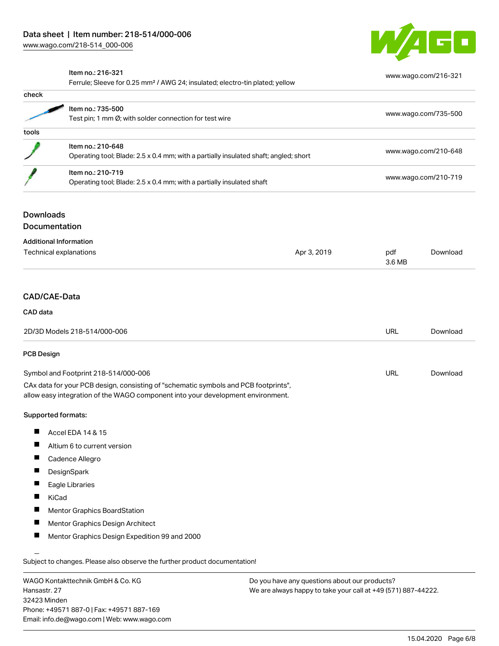

[www.wago.com/216-321](http://www.wago.com/216-321)

#### Item no.: 216-321

Ferrule; Sleeve for 0.25 mm² / AWG 24; insulated; electro-tin plated; yellow

|                     | Ferrule, Sleeve for 0.25 mini-7 AWG 24, insulated, electro-timplated, yellow                              |             |                      |                      |  |
|---------------------|-----------------------------------------------------------------------------------------------------------|-------------|----------------------|----------------------|--|
| check               |                                                                                                           |             |                      |                      |  |
|                     | Item no.: 735-500<br>Test pin; 1 mm Ø; with solder connection for test wire                               |             |                      | www.wago.com/735-500 |  |
|                     |                                                                                                           |             |                      |                      |  |
| tools               |                                                                                                           |             |                      |                      |  |
|                     | Item no.: 210-648<br>Operating tool; Blade: 2.5 x 0.4 mm; with a partially insulated shaft; angled; short |             |                      |                      |  |
|                     |                                                                                                           |             | www.wago.com/210-648 |                      |  |
|                     | Item no.: 210-719<br>Operating tool; Blade: 2.5 x 0.4 mm; with a partially insulated shaft                |             |                      |                      |  |
|                     |                                                                                                           |             | www.wago.com/210-719 |                      |  |
| <b>Downloads</b>    |                                                                                                           |             |                      |                      |  |
|                     | <b>Documentation</b>                                                                                      |             |                      |                      |  |
|                     | <b>Additional Information</b>                                                                             |             |                      |                      |  |
|                     | Technical explanations                                                                                    | Apr 3, 2019 | pdf<br>3.6 MB        | Download             |  |
|                     |                                                                                                           |             |                      |                      |  |
| <b>CAD/CAE-Data</b> |                                                                                                           |             |                      |                      |  |
| CAD data            |                                                                                                           |             |                      |                      |  |
|                     | 2D/3D Models 218-514/000-006                                                                              |             | <b>URL</b>           | Download             |  |
| <b>PCB Design</b>   |                                                                                                           |             |                      |                      |  |
|                     | Symbol and Footprint 218-514/000-006                                                                      |             | <b>URL</b>           | Download             |  |
|                     | CAx data for your PCB design, consisting of "schematic symbols and PCB footprints",                       |             |                      |                      |  |
|                     | allow easy integration of the WAGO component into your development environment.                           |             |                      |                      |  |
|                     | Supported formats:                                                                                        |             |                      |                      |  |
|                     |                                                                                                           |             |                      |                      |  |

- $\blacksquare$ Accel EDA 14 & 15
- $\blacksquare$ Altium 6 to current version
- Cadence Allegro  $\blacksquare$
- П **DesignSpark**
- П Eagle Libraries
- $\blacksquare$ KiCad
- $\blacksquare$ Mentor Graphics BoardStation
- $\blacksquare$ Mentor Graphics Design Architect
- Mentor Graphics Design Expedition 99 and 2000 П

Subject to changes. Please also observe the further product documentation!

WAGO Kontakttechnik GmbH & Co. KG Hansastr. 27 32423 Minden Phone: +49571 887-0 | Fax: +49571 887-169 Email: info.de@wago.com | Web: www.wago.com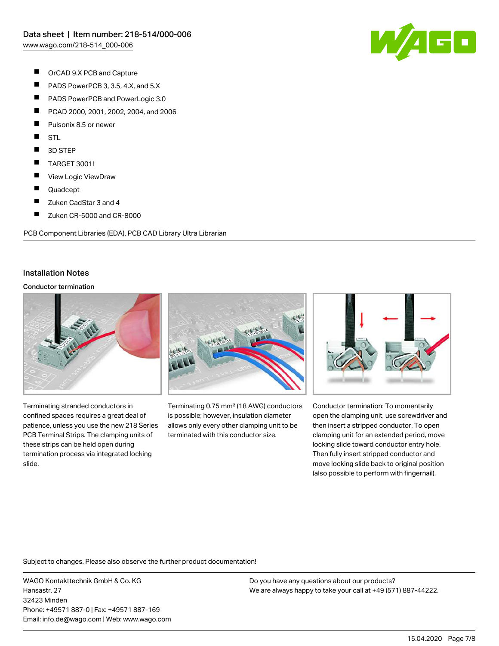

- $\blacksquare$ OrCAD 9.X PCB and Capture
- $\blacksquare$ PADS PowerPCB 3, 3.5, 4.X, and 5.X
- $\blacksquare$ PADS PowerPCB and PowerLogic 3.0
- $\blacksquare$ PCAD 2000, 2001, 2002, 2004, and 2006
- П Pulsonix 8.5 or newer
- П **STL**
- $\blacksquare$ 3D STEP
- $\blacksquare$ TARGET 3001!
- $\blacksquare$ View Logic ViewDraw
- П Quadcept
- $\blacksquare$ Zuken CadStar 3 and 4
- $\blacksquare$ Zuken CR-5000 and CR-8000

PCB Component Libraries (EDA), PCB CAD Library Ultra Librarian

#### Installation Notes

#### Conductor termination



Terminating stranded conductors in confined spaces requires a great deal of patience, unless you use the new 218 Series PCB Terminal Strips. The clamping units of these strips can be held open during termination process via integrated locking slide.



Terminating 0.75 mm² (18 AWG) conductors is possible; however, insulation diameter allows only every other clamping unit to be terminated with this conductor size.



Conductor termination: To momentarily open the clamping unit, use screwdriver and then insert a stripped conductor. To open clamping unit for an extended period, move locking slide toward conductor entry hole. Then fully insert stripped conductor and move locking slide back to original position (also possible to perform with fingernail).

Subject to changes. Please also observe the further product documentation!

WAGO Kontakttechnik GmbH & Co. KG Hansastr. 27 32423 Minden Phone: +49571 887-0 | Fax: +49571 887-169 Email: info.de@wago.com | Web: www.wago.com